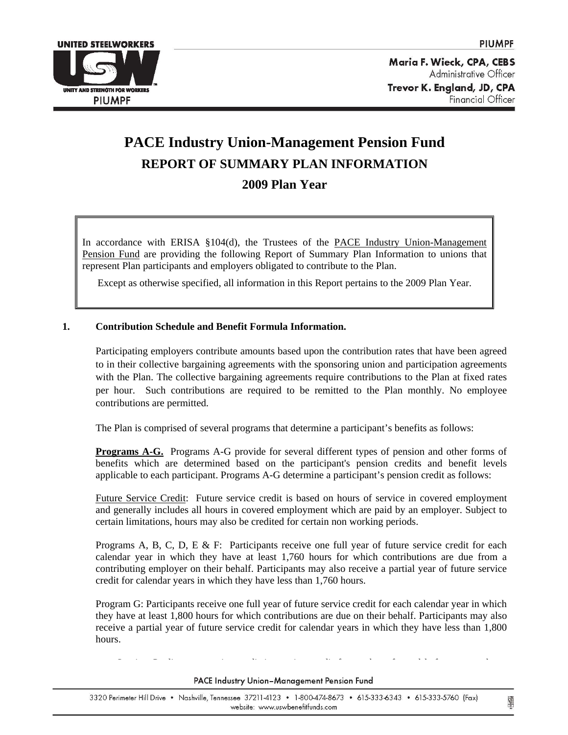

Maria F. Wieck, CPA, CEBS Administrative Officer Trevor K. England, JD, CPA Financial Officer

# **PACE Industry Union-Management Pension Fund REPORT OF SUMMARY PLAN INFORMATION 2009 Plan Year**

In accordance with ERISA §104(d), the Trustees of the PACE Industry Union-Management Pension Fund are providing the following Report of Summary Plan Information to unions that represent Plan participants and employers obligated to contribute to the Plan.

Except as otherwise specified, all information in this Report pertains to the 2009 Plan Year.

# **1. Contribution Schedule and Benefit Formula Information.**

 Participating employers contribute amounts based upon the contribution rates that have been agreed to in their collective bargaining agreements with the sponsoring union and participation agreements with the Plan. The collective bargaining agreements require contributions to the Plan at fixed rates per hour. Such contributions are required to be remitted to the Plan monthly. No employee contributions are permitted.

The Plan is comprised of several programs that determine a participant's benefits as follows:

**Programs A-G.** Programs A-G provide for several different types of pension and other forms of benefits which are determined based on the participant's pension credits and benefit levels applicable to each participant. Programs A-G determine a participant's pension credit as follows:

Future Service Credit: Future service credit is based on hours of service in covered employment and generally includes all hours in covered employment which are paid by an employer. Subject to certain limitations, hours may also be credited for certain non working periods.

Programs A, B, C, D, E & F: Participants receive one full year of future service credit for each calendar year in which they have at least 1,760 hours for which contributions are due from a contributing employer on their behalf. Participants may also receive a partial year of future service credit for calendar years in which they have less than 1,760 hours.

Program G: Participants receive one full year of future service credit for each calendar year in which they have at least 1,800 hours for which contributions are due on their behalf. Participants may also receive a partial year of future service credit for calendar years in which they have less than 1,800 hours.

S i C di i di i i di f k f d b f l

#### PACE Industry Union-Management Pension Fund

I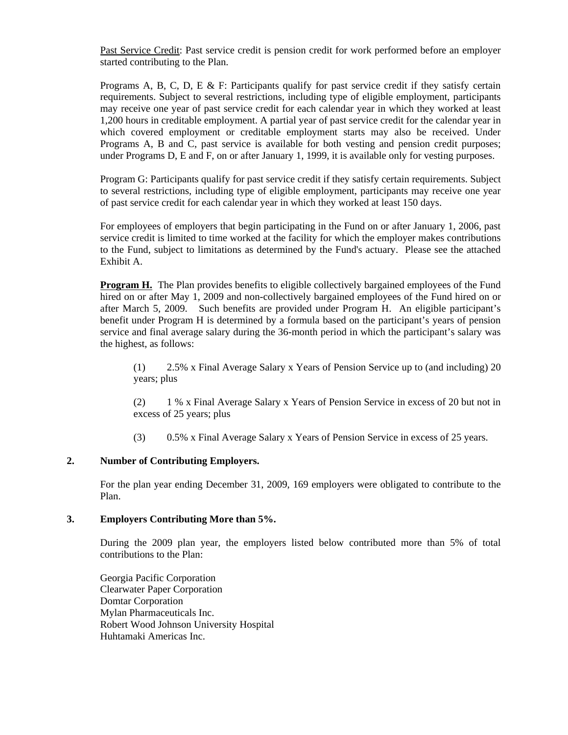Past Service Credit: Past service credit is pension credit for work performed before an employer started contributing to the Plan.

Programs A, B, C, D, E & F: Participants qualify for past service credit if they satisfy certain requirements. Subject to several restrictions, including type of eligible employment, participants may receive one year of past service credit for each calendar year in which they worked at least 1,200 hours in creditable employment. A partial year of past service credit for the calendar year in which covered employment or creditable employment starts may also be received. Under Programs A, B and C, past service is available for both vesting and pension credit purposes; under Programs D, E and F, on or after January 1, 1999, it is available only for vesting purposes.

Program G: Participants qualify for past service credit if they satisfy certain requirements. Subject to several restrictions, including type of eligible employment, participants may receive one year of past service credit for each calendar year in which they worked at least 150 days.

For employees of employers that begin participating in the Fund on or after January 1, 2006, past service credit is limited to time worked at the facility for which the employer makes contributions to the Fund, subject to limitations as determined by the Fund's actuary. Please see the attached Exhibit A.

**Program H.** The Plan provides benefits to eligible collectively bargained employees of the Fund hired on or after May 1, 2009 and non-collectively bargained employees of the Fund hired on or after March 5, 2009. Such benefits are provided under Program H. An eligible participant's benefit under Program H is determined by a formula based on the participant's years of pension service and final average salary during the 36-month period in which the participant's salary was the highest, as follows:

(1) 2.5% x Final Average Salary x Years of Pension Service up to (and including) 20 years; plus

(2) 1 % x Final Average Salary x Years of Pension Service in excess of 20 but not in excess of 25 years; plus

(3) 0.5% x Final Average Salary x Years of Pension Service in excess of 25 years.

# **2. Number of Contributing Employers.**

 For the plan year ending December 31, 2009, 169 employers were obligated to contribute to the Plan.

## **3. Employers Contributing More than 5%.**

 During the 2009 plan year, the employers listed below contributed more than 5% of total contributions to the Plan:

 Georgia Pacific Corporation Clearwater Paper Corporation Domtar Corporation Mylan Pharmaceuticals Inc. Robert Wood Johnson University Hospital Huhtamaki Americas Inc.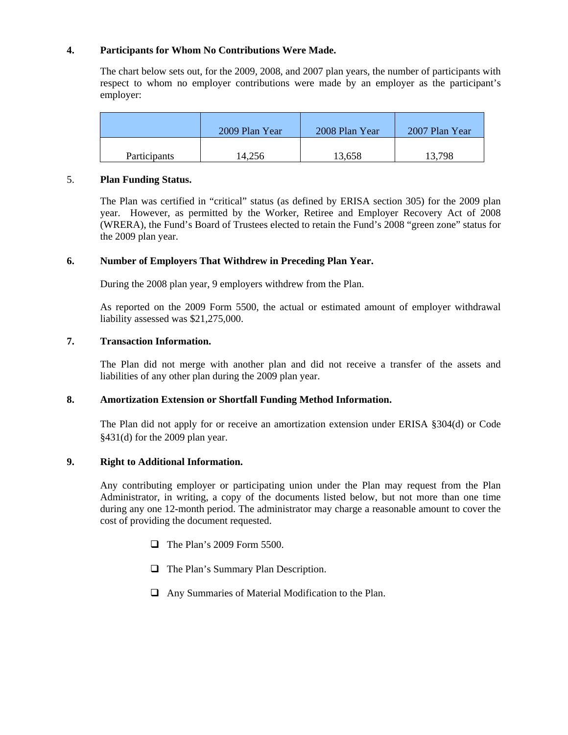# **4. Participants for Whom No Contributions Were Made.**

The chart below sets out, for the 2009, 2008, and 2007 plan years, the number of participants with respect to whom no employer contributions were made by an employer as the participant's employer:

|                     | 2009 Plan Year | 2008 Plan Year | 2007 Plan Year |
|---------------------|----------------|----------------|----------------|
| <b>Participants</b> | 14.256         | 13,658         | 13,798         |

## 5. **Plan Funding Status.**

 The Plan was certified in "critical" status (as defined by ERISA section 305) for the 2009 plan year. However, as permitted by the Worker, Retiree and Employer Recovery Act of 2008 (WRERA), the Fund's Board of Trustees elected to retain the Fund's 2008 "green zone" status for the 2009 plan year.

# **6. Number of Employers That Withdrew in Preceding Plan Year.**

During the 2008 plan year, 9 employers withdrew from the Plan.

 As reported on the 2009 Form 5500, the actual or estimated amount of employer withdrawal liability assessed was \$21,275,000.

# **7. Transaction Information.**

The Plan did not merge with another plan and did not receive a transfer of the assets and liabilities of any other plan during the 2009 plan year.

# **8. Amortization Extension or Shortfall Funding Method Information.**

The Plan did not apply for or receive an amortization extension under ERISA §304(d) or Code §431(d) for the 2009 plan year.

# **9. Right to Additional Information.**

Any contributing employer or participating union under the Plan may request from the Plan Administrator, in writing, a copy of the documents listed below, but not more than one time during any one 12-month period. The administrator may charge a reasonable amount to cover the cost of providing the document requested.

- $\Box$  The Plan's 2009 Form 5500.
- **The Plan's Summary Plan Description.**
- $\Box$  Any Summaries of Material Modification to the Plan.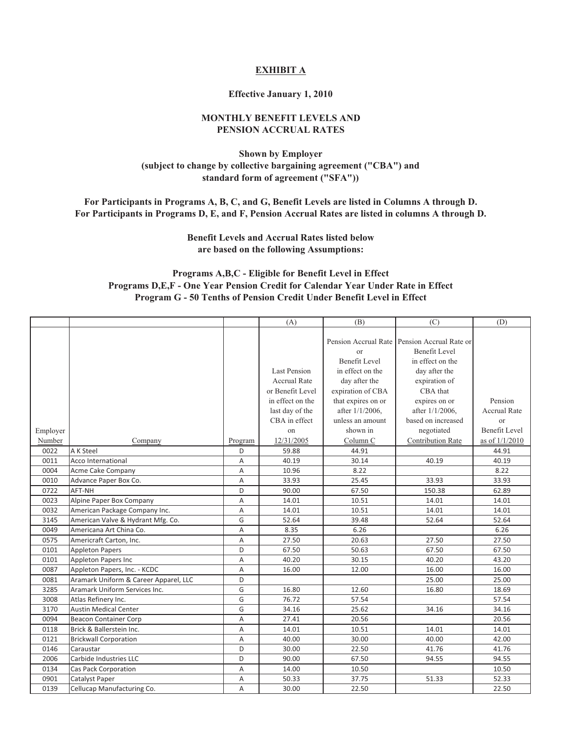## **EXHIBIT A**

#### **Effective January 1, 2010**

# **MONTHLY BENEFIT LEVELS AND PENSION ACCRUAL RATES**

**Shown by Employer (subject to change by collective bargaining agreement ("CBA") and standard form of agreement ("SFA"))**

**For Participants in Programs A, B, C, and G, Benefit Levels are listed in Columns A through D. For Participants in Programs D, E, and F, Pension Accrual Rates are listed in columns A through D.**

> **Benefit Levels and Accrual Rates listed below are based on the following Assumptions:**

## **Programs A,B,C - Eligible for Benefit Level in Effect Programs D,E,F - One Year Pension Credit for Calendar Year Under Rate in Effect Program G - 50 Tenths of Pension Credit Under Benefit Level in Effect**

|          |                                       |         | (A)                 | (B)                   | (C)                                            | (D)                  |
|----------|---------------------------------------|---------|---------------------|-----------------------|------------------------------------------------|----------------------|
|          |                                       |         |                     |                       |                                                |                      |
|          |                                       |         |                     |                       | Pension Accrual Rate   Pension Accrual Rate or |                      |
|          |                                       |         |                     | $\alpha$ <sup>r</sup> | Benefit Level                                  |                      |
|          |                                       |         |                     | <b>Benefit Level</b>  | in effect on the                               |                      |
|          |                                       |         | Last Pension        | in effect on the      | day after the                                  |                      |
|          |                                       |         | <b>Accrual Rate</b> | day after the         | expiration of                                  |                      |
|          |                                       |         | or Benefit Level    | expiration of CBA     | CBA that                                       |                      |
|          |                                       |         | in effect on the    | that expires on or    | expires on or                                  | Pension              |
|          |                                       |         | last day of the     | after 1/1/2006,       | after 1/1/2006,                                | <b>Accrual Rate</b>  |
|          |                                       |         | CBA in effect       | unless an amount      | based on increased                             | or                   |
| Employer |                                       |         | on                  | shown in              | negotiated                                     | <b>Benefit Level</b> |
| Number   | Company                               | Program | 12/31/2005          | Column C              | <b>Contribution Rate</b>                       | as of $1/1/2010$     |
| 0022     | A K Steel                             | D       | 59.88               | 44.91                 |                                                | 44.91                |
| 0011     | Acco International                    | Α       | 40.19               | 30.14                 | 40.19                                          | 40.19                |
| 0004     | Acme Cake Company                     | A       | 10.96               | 8.22                  |                                                | 8.22                 |
| 0010     | Advance Paper Box Co.                 | Α       | 33.93               | 25.45                 | 33.93                                          | 33.93                |
| 0722     | AFT-NH                                | D       | 90.00               | 67.50                 | 150.38                                         | 62.89                |
| 0023     | Alpine Paper Box Company              | A       | 14.01               | 10.51                 | 14.01                                          | 14.01                |
| 0032     | American Package Company Inc.         | A       | 14.01               | 10.51                 | 14.01                                          | 14.01                |
| 3145     | American Valve & Hydrant Mfg. Co.     | G       | 52.64               | 39.48                 | 52.64                                          | 52.64                |
| 0049     | Americana Art China Co.               | A       | 8.35                | 6.26                  |                                                | 6.26                 |
| 0575     | Americraft Carton, Inc.               | A       | 27.50               | 20.63                 | 27.50                                          | 27.50                |
| 0101     | <b>Appleton Papers</b>                | D       | 67.50               | 50.63                 | 67.50                                          | 67.50                |
| 0101     | <b>Appleton Papers Inc</b>            | A       | 40.20               | 30.15                 | 40.20                                          | 43.20                |
| 0087     | Appleton Papers, Inc. - KCDC          | A       | 16.00               | 12.00                 | 16.00                                          | 16.00                |
| 0081     | Aramark Uniform & Career Apparel, LLC | D       |                     |                       | 25.00                                          | 25.00                |
| 3285     | Aramark Uniform Services Inc.         | G       | 16.80               | 12.60                 | 16.80                                          | 18.69                |
| 3008     | Atlas Refinery Inc.                   | G       | 76.72               | 57.54                 |                                                | 57.54                |
| 3170     | <b>Austin Medical Center</b>          | G       | 34.16               | 25.62                 | 34.16                                          | 34.16                |
| 0094     | <b>Beacon Container Corp</b>          | A       | 27.41               | 20.56                 |                                                | 20.56                |
| 0118     | Brick & Ballerstein Inc.              | Α       | 14.01               | 10.51                 | 14.01                                          | 14.01                |
| 0121     | <b>Brickwall Corporation</b>          | Α       | 40.00               | 30.00                 | 40.00                                          | 42.00                |
| 0146     | Caraustar                             | D       | 30.00               | 22.50                 | 41.76                                          | 41.76                |
| 2006     | Carbide Industries LLC                | D       | 90.00               | 67.50                 | 94.55                                          | 94.55                |
| 0134     | Cas Pack Corporation                  | Α       | 14.00               | 10.50                 |                                                | 10.50                |
| 0901     | Catalyst Paper                        | Α       | 50.33               | 37.75                 | 51.33                                          | 52.33                |
| 0139     | Cellucap Manufacturing Co.            | A       | 30.00               | 22.50                 |                                                | 22.50                |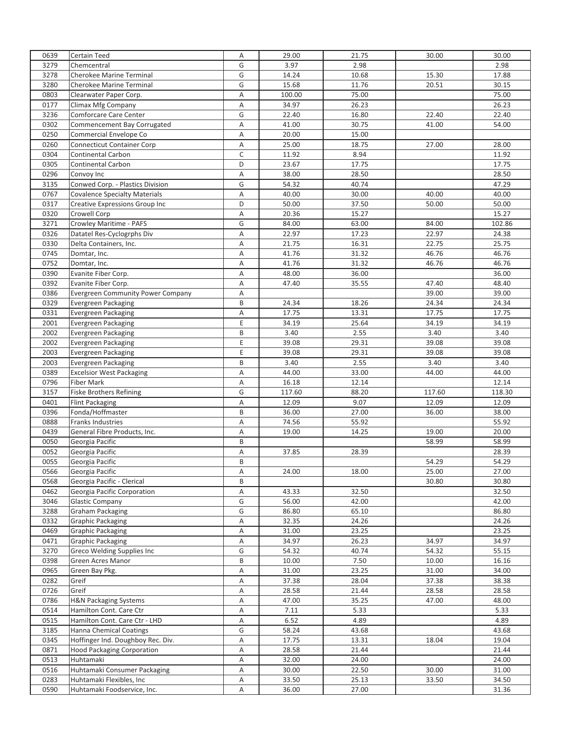| 0639         | <b>Certain Teed</b>                      | Α           | 29.00          | 21.75          | 30.00  | 30.00          |
|--------------|------------------------------------------|-------------|----------------|----------------|--------|----------------|
| 3279         | Chemcentral                              | G           | 3.97           | 2.98           |        | 2.98           |
| 3278         | Cherokee Marine Terminal                 | G           | 14.24          | 10.68          | 15.30  | 17.88          |
| 3280         | Cherokee Marine Terminal                 | G           | 15.68          | 11.76          | 20.51  | 30.15          |
| 0803         | Clearwater Paper Corp.                   | Α           | 100.00         | 75.00          |        | 75.00          |
| 0177         |                                          |             |                | 26.23          |        |                |
|              | Climax Mfg Company                       | Α           | 34.97          |                |        | 26.23          |
| 3236         | <b>Comforcare Care Center</b>            | G           | 22.40          | 16.80          | 22.40  | 22.40          |
| 0302         | Commencement Bay Corrugated              | A           | 41.00          | 30.75          | 41.00  | 54.00          |
| 0250         | Commercial Envelope Co                   | Α           | 20.00          | 15.00          |        |                |
| 0260         | <b>Connecticut Container Corp</b>        | Α           | 25.00          | 18.75          | 27.00  | 28.00          |
| 0304         | Continental Carbon                       | $\mathsf C$ | 11.92          | 8.94           |        | 11.92          |
| 0305         | <b>Continental Carbon</b>                | D           | 23.67          | 17.75          |        | 17.75          |
| 0296         | Convoy Inc                               | Α           | 38.00          | 28.50          |        | 28.50          |
| 3135         | Conwed Corp. - Plastics Division         | G           | 54.32          | 40.74          |        | 47.29          |
| 0767         | <b>Covalence Specialty Materials</b>     | A           | 40.00          | 30.00          | 40.00  | 40.00          |
| 0317         | Creative Expressions Group Inc           | D           | 50.00          | 37.50          | 50.00  | 50.00          |
| 0320         | Crowell Corp                             | A           | 20.36          | 15.27          |        | 15.27          |
| 3271         | Crowley Maritime - PAFS                  | G           | 84.00          | 63.00          | 84.00  | 102.86         |
| 0326         | Datatel Res-Cyclogrphs Div               | Α           | 22.97          | 17.23          | 22.97  | 24.38          |
|              |                                          |             |                |                |        |                |
| 0330         | Delta Containers, Inc.                   | A           | 21.75          | 16.31          | 22.75  | 25.75          |
| 0745         | Domtar, Inc.                             | A           | 41.76          | 31.32          | 46.76  | 46.76          |
| 0752         | Domtar, Inc.                             | Α           | 41.76          | 31.32          | 46.76  | 46.76          |
| 0390         | Evanite Fiber Corp.                      | Α           | 48.00          | 36.00          |        | 36.00          |
| 0392         | Evanite Fiber Corp.                      | A           | 47.40          | 35.55          | 47.40  | 48.40          |
| 0386         | <b>Evergreen Community Power Company</b> | A           |                |                | 39.00  | 39.00          |
| 0329         | Evergreen Packaging                      | B           | 24.34          | 18.26          | 24.34  | 24.34          |
| 0331         | Evergreen Packaging                      | Α           | 17.75          | 13.31          | 17.75  | 17.75          |
| 2001         | Evergreen Packaging                      | Ε           | 34.19          | 25.64          | 34.19  | 34.19          |
| 2002         | Evergreen Packaging                      | B           | 3.40           | 2.55           | 3.40   | 3.40           |
| 2002         | Evergreen Packaging                      | E           | 39.08          | 29.31          | 39.08  | 39.08          |
| 2003         | Evergreen Packaging                      | E           | 39.08          | 29.31          | 39.08  | 39.08          |
| 2003         | Evergreen Packaging                      | B           | 3.40           | 2.55           | 3.40   | 3.40           |
|              |                                          |             |                |                |        |                |
| 0389<br>0796 | <b>Excelsior West Packaging</b>          | Α           | 44.00<br>16.18 | 33.00<br>12.14 | 44.00  | 44.00<br>12.14 |
|              | <b>Fiber Mark</b>                        | A           |                |                |        |                |
| 3157         | <b>Fiske Brothers Refining</b>           | G           | 117.60         | 88.20          | 117.60 | 118.30         |
| 0401         | <b>Flint Packaging</b>                   | Α           | 12.09          | 9.07           | 12.09  | 12.09          |
| 0396         | Fonda/Hoffmaster                         | B           | 36.00          | 27.00          | 36.00  | 38.00          |
| 0888         | <b>Franks Industries</b>                 | Α           | 74.56          | 55.92          |        | 55.92          |
| 0439         | General Fibre Products, Inc.             | A           | 19.00          | 14.25          | 19.00  | 20.00          |
| 0050         | Georgia Pacific                          | B           |                |                | 58.99  | 58.99          |
| 0052         | Georgia Pacific                          | Α           | 37.85          | 28.39          |        | 28.39          |
| 0055         | Georgia Pacific                          | B           |                |                | 54.29  | 54.29          |
| 0566         | Georgia Pacific                          | Α           | 24.00          | 18.00          | 25.00  | 27.00          |
| 0568         | Georgia Pacific - Clerical               | B           |                |                | 30.80  | 30.80          |
| 0462         | Georgia Pacific Corporation              | Α           | 43.33          | 32.50          |        | 32.50          |
| 3046         | <b>Glastic Company</b>                   | G           | 56.00          | 42.00          |        | 42.00          |
| 3288         | <b>Graham Packaging</b>                  | G           | 86.80          | 65.10          |        | 86.80          |
| 0332         |                                          |             | 32.35          | 24.26          |        | 24.26          |
|              | <b>Graphic Packaging</b>                 | Α           |                |                |        |                |
| 0469         | <b>Graphic Packaging</b>                 | Α           | 31.00          | 23.25          |        | 23.25          |
| 0471         | <b>Graphic Packaging</b>                 | Α           | 34.97          | 26.23          | 34.97  | 34.97          |
| 3270         | Greco Welding Supplies Inc               | G           | 54.32          | 40.74          | 54.32  | 55.15          |
| 0398         | Green Acres Manor                        | B           | 10.00          | 7.50           | 10.00  | 16.16          |
| 0965         | Green Bay Pkg.                           | A           | 31.00          | 23.25          | 31.00  | 34.00          |
| 0282         | Greif                                    | Α           | 37.38          | 28.04          | 37.38  | 38.38          |
| 0726         | Greif                                    | Α           | 28.58          | 21.44          | 28.58  | 28.58          |
| 0786         | <b>H&amp;N Packaging Systems</b>         | Α           | 47.00          | 35.25          | 47.00  | 48.00          |
| 0514         | Hamilton Cont. Care Ctr                  | Α           | 7.11           | 5.33           |        | 5.33           |
| 0515         | Hamilton Cont. Care Ctr - LHD            | Α           | 6.52           | 4.89           |        | 4.89           |
| 3185         | <b>Hanna Chemical Coatings</b>           | G           | 58.24          | 43.68          |        | 43.68          |
| 0345         | Hoffinger Ind. Doughboy Rec. Div.        | А           | 17.75          | 13.31          | 18.04  | 19.04          |
| 0871         | <b>Hood Packaging Corporation</b>        | Α           | 28.58          | 21.44          |        | 21.44          |
| 0513         | Huhtamaki                                | A           | 32.00          | 24.00          |        | 24.00          |
|              |                                          |             |                |                |        |                |
| 0516         | Huhtamaki Consumer Packaging             | Α           | 30.00          | 22.50          | 30.00  | 31.00          |
| 0283         | Huhtamaki Flexibles, Inc                 | Α           | 33.50          | 25.13          | 33.50  | 34.50          |
| 0590         | Huhtamaki Foodservice, Inc.              | Α           | 36.00          | 27.00          |        | 31.36          |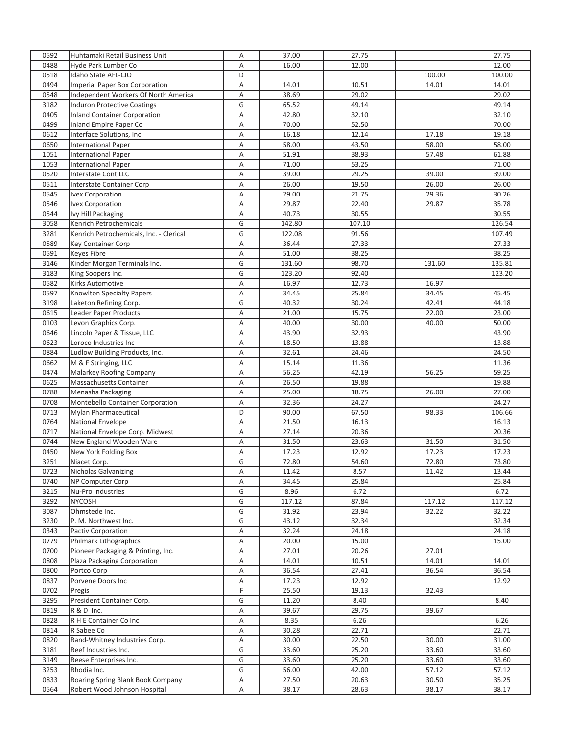| 0592 | Huhtamaki Retail Business Unit          | Α      | 37.00  | 27.75  |        | 27.75  |
|------|-----------------------------------------|--------|--------|--------|--------|--------|
| 0488 | Hyde Park Lumber Co                     | A      | 16.00  | 12.00  |        | 12.00  |
| 0518 | Idaho State AFL-CIO                     | D      |        |        | 100.00 | 100.00 |
| 0494 | <b>Imperial Paper Box Corporation</b>   | Α      | 14.01  | 10.51  | 14.01  | 14.01  |
| 0548 | Independent Workers Of North America    | Α      | 38.69  | 29.02  |        | 29.02  |
| 3182 | <b>Induron Protective Coatings</b>      | G      | 65.52  | 49.14  |        | 49.14  |
| 0405 | <b>Inland Container Corporation</b>     | A      | 42.80  | 32.10  |        | 32.10  |
| 0499 | Inland Empire Paper Co                  | Α      | 70.00  | 52.50  |        | 70.00  |
| 0612 | Interface Solutions, Inc.               | Α      | 16.18  | 12.14  | 17.18  | 19.18  |
| 0650 | <b>International Paper</b>              | Α      | 58.00  | 43.50  | 58.00  | 58.00  |
| 1051 | <b>International Paper</b>              | A      | 51.91  | 38.93  | 57.48  | 61.88  |
| 1053 | <b>International Paper</b>              | A      | 71.00  | 53.25  |        | 71.00  |
| 0520 | <b>Interstate Cont LLC</b>              | Α      | 39.00  | 29.25  | 39.00  | 39.00  |
| 0511 | Interstate Container Corp               | A      | 26.00  | 19.50  | 26.00  | 26.00  |
| 0545 | Ivex Corporation                        | A      | 29.00  | 21.75  | 29.36  | 30.26  |
| 0546 | Ivex Corporation                        | A      | 29.87  | 22.40  | 29.87  | 35.78  |
| 0544 | Ivy Hill Packaging                      | A      | 40.73  | 30.55  |        | 30.55  |
| 3058 | Kenrich Petrochemicals                  | G      | 142.80 | 107.10 |        | 126.54 |
| 3281 | Kenrich Petrochemicals, Inc. - Clerical | G      | 122.08 | 91.56  |        | 107.49 |
| 0589 | Key Container Corp                      | A      | 36.44  | 27.33  |        | 27.33  |
| 0591 | <b>Keyes Fibre</b>                      |        | 51.00  | 38.25  |        | 38.25  |
| 3146 | Kinder Morgan Terminals Inc.            | Α<br>G | 131.60 | 98.70  | 131.60 | 135.81 |
|      |                                         |        |        |        |        |        |
| 3183 | King Soopers Inc.                       | G      | 123.20 | 92.40  |        | 123.20 |
| 0582 | <b>Kirks Automotive</b>                 | A      | 16.97  | 12.73  | 16.97  |        |
| 0597 | <b>Knowlton Specialty Papers</b>        | A      | 34.45  | 25.84  | 34.45  | 45.45  |
| 3198 | Laketon Refining Corp.                  | G      | 40.32  | 30.24  | 42.41  | 44.18  |
| 0615 | Leader Paper Products                   | Α      | 21.00  | 15.75  | 22.00  | 23.00  |
| 0103 | Levon Graphics Corp.                    | Α      | 40.00  | 30.00  | 40.00  | 50.00  |
| 0646 | Lincoln Paper & Tissue, LLC             | A      | 43.90  | 32.93  |        | 43.90  |
| 0623 | Loroco Industries Inc                   | A      | 18.50  | 13.88  |        | 13.88  |
| 0884 | Ludlow Building Products, Inc.          | Α      | 32.61  | 24.46  |        | 24.50  |
| 0662 | M & F Stringing, LLC                    | Α      | 15.14  | 11.36  |        | 11.36  |
| 0474 | Malarkey Roofing Company                | Α      | 56.25  | 42.19  | 56.25  | 59.25  |
| 0625 | Massachusetts Container                 | A      | 26.50  | 19.88  |        | 19.88  |
| 0788 | Menasha Packaging                       | A      | 25.00  | 18.75  | 26.00  | 27.00  |
| 0708 | Montebello Container Corporation        | Α      | 32.36  | 24.27  |        | 24.27  |
| 0713 | <b>Mylan Pharmaceutical</b>             | D      | 90.00  | 67.50  | 98.33  | 106.66 |
| 0764 | <b>National Envelope</b>                | Α      | 21.50  | 16.13  |        | 16.13  |
| 0717 | National Envelope Corp. Midwest         | A      | 27.14  | 20.36  |        | 20.36  |
| 0744 | New England Wooden Ware                 | Α      | 31.50  | 23.63  | 31.50  | 31.50  |
| 0450 | New York Folding Box                    | Α      | 17.23  | 12.92  | 17.23  | 17.23  |
| 3251 | Niacet Corp.                            | G      | 72.80  | 54.60  | 72.80  | 73.80  |
| 0723 | <b>Nicholas Galvanizing</b>             | Α      | 11.42  | 8.57   | 11.42  | 13.44  |
| 0740 | NP Computer Corp                        | Α      | 34.45  | 25.84  |        | 25.84  |
| 3215 | Nu-Pro Industries                       | G      | 8.96   | 6.72   |        | 6.72   |
| 3292 | <b>NYCOSH</b>                           | G      | 117.12 | 87.84  | 117.12 | 117.12 |
| 3087 | Ohmstede Inc.                           | G      | 31.92  | 23.94  | 32.22  | 32.22  |
| 3230 | P. M. Northwest Inc.                    | G      | 43.12  | 32.34  |        | 32.34  |
| 0343 | Pactiv Corporation                      | Α      | 32.24  | 24.18  |        | 24.18  |
| 0779 | Philmark Lithographics                  | Α      | 20.00  | 15.00  |        | 15.00  |
| 0700 | Pioneer Packaging & Printing, Inc.      | А      | 27.01  | 20.26  | 27.01  |        |
| 0808 | Plaza Packaging Corporation             | Α      | 14.01  | 10.51  | 14.01  | 14.01  |
| 0800 | Portco Corp                             | Α      | 36.54  | 27.41  | 36.54  | 36.54  |
| 0837 | Porvene Doors Inc                       | Α      | 17.23  | 12.92  |        | 12.92  |
| 0702 | Pregis                                  | F      | 25.50  | 19.13  | 32.43  |        |
| 3295 | President Container Corp.               | G      | 11.20  | 8.40   |        | 8.40   |
| 0819 | R & D Inc.                              | Α      | 39.67  | 29.75  | 39.67  |        |
| 0828 | R H E Container Co Inc                  | А      | 8.35   | 6.26   |        | 6.26   |
| 0814 | R Sabee Co                              | Α      | 30.28  | 22.71  |        | 22.71  |
| 0820 | Rand-Whitney Industries Corp.           | А      | 30.00  | 22.50  | 30.00  | 31.00  |
| 3181 | Reef Industries Inc.                    | G      | 33.60  | 25.20  | 33.60  | 33.60  |
| 3149 | Reese Enterprises Inc.                  | G      | 33.60  | 25.20  | 33.60  | 33.60  |
| 3253 | Rhodia Inc.                             | G      | 56.00  | 42.00  | 57.12  | 57.12  |
| 0833 | Roaring Spring Blank Book Company       | Α      | 27.50  | 20.63  | 30.50  | 35.25  |
| 0564 | Robert Wood Johnson Hospital            | Α      | 38.17  | 28.63  | 38.17  | 38.17  |
|      |                                         |        |        |        |        |        |